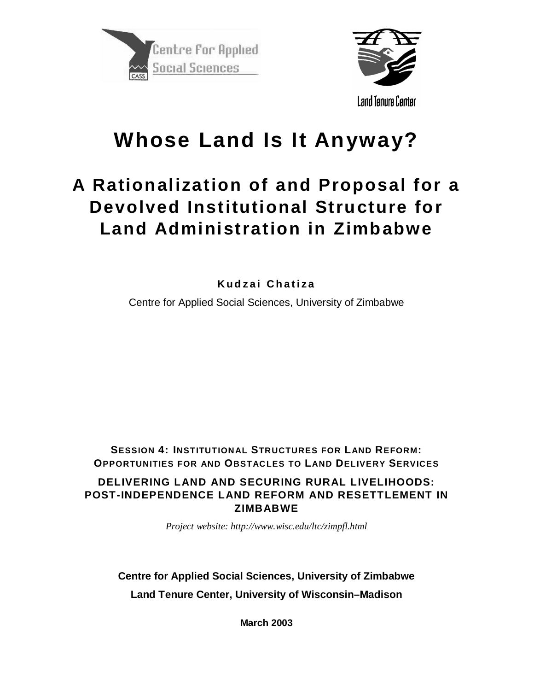



**Whose Land Is It Anyway?**

# **A Rationalization of and Proposal for a Devolved Institutional Structure for Land Administration in Zimbabwe**

**Kudzai Chatiza**

Centre for Applied Social Sciences, University of Zimbabwe

**SESSION 4: INSTITUTIONAL STRUCTURES FOR LAND REFORM: OPPORTUNITIES FOR AND OBSTACLES TO LAND DELIVERY SERVICES DELIVERING LAND AND SECURING RURAL LIVELIHOODS: POST-INDEPENDENCE LAND REFORM AND RESETTLEMENT IN ZIMBABWE**

*Project website: http://www.wisc.edu/ltc/zimpfl.html*

**Centre for Applied Social Sciences, University of Zimbabwe Land Tenure Center, University of Wisconsin–Madison**

**March 2003**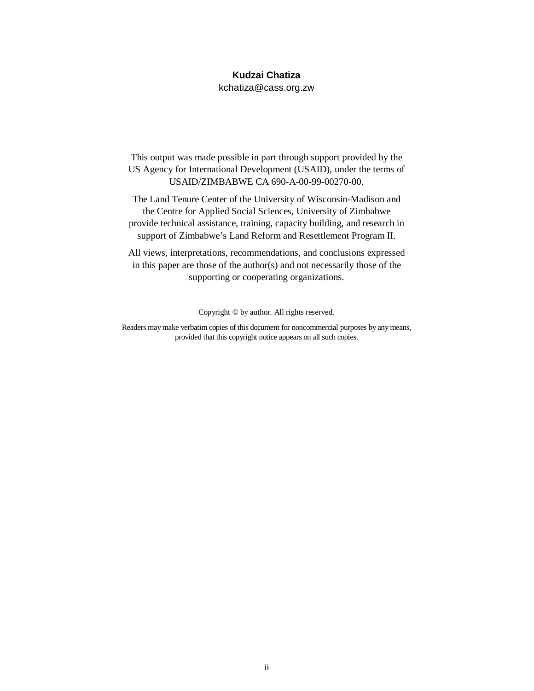#### **Kudzai Chatiza**

kchatiza@cass.org.zw

This output was made possible in part through support provided by the US Agency for International Development (USAID), under the terms of USAID/ZIMBABWE CA 690-A-00-99-00270-00.

The Land Tenure Center of the University of Wisconsin-Madison and the Centre for Applied Social Sciences, University of Zimbabwe provide technical assistance, training, capacity building, and research in support of Zimbabwe's Land Reform and Resettlement Program II.

All views, interpretations, recommendations, and conclusions expressed in this paper are those of the author(s) and not necessarily those of the supporting or cooperating organizations.

Copyright © by author. All rights reserved.

Readers may make verbatim copies of this document for noncommercial purposes by any means, provided that this copyright notice appears on all such copies.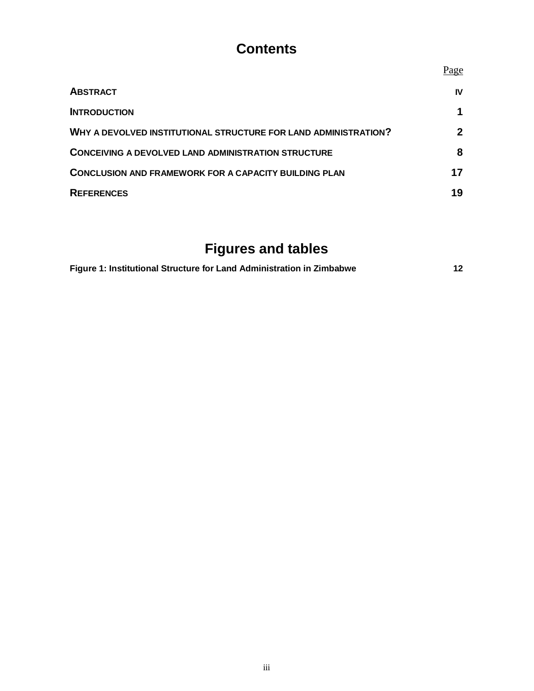# **Contents**

|                                                                 | Page |
|-----------------------------------------------------------------|------|
| <b>ABSTRACT</b>                                                 | IV   |
| <b>INTRODUCTION</b>                                             |      |
| WHY A DEVOLVED INSTITUTIONAL STRUCTURE FOR LAND ADMINISTRATION? | 2    |
| <b>CONCEIVING A DEVOLVED LAND ADMINISTRATION STRUCTURE</b>      | 8    |
| <b>CONCLUSION AND FRAMEWORK FOR A CAPACITY BUILDING PLAN</b>    | 17   |
| <b>REFERENCES</b>                                               | 19   |

# **Figures and tables**

| Figure 1: Institutional Structure for Land Administration in Zimbabwe |  |
|-----------------------------------------------------------------------|--|
|-----------------------------------------------------------------------|--|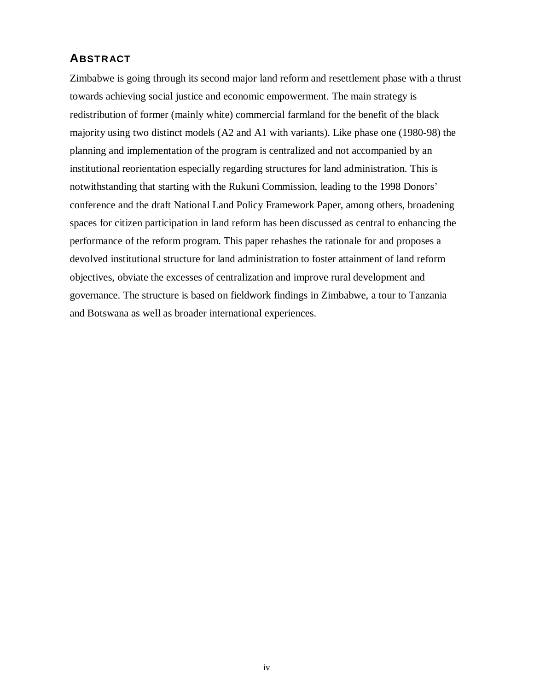### **ABSTRACT**

Zimbabwe is going through its second major land reform and resettlement phase with a thrust towards achieving social justice and economic empowerment. The main strategy is redistribution of former (mainly white) commercial farmland for the benefit of the black majority using two distinct models (A2 and A1 with variants). Like phase one (1980-98) the planning and implementation of the program is centralized and not accompanied by an institutional reorientation especially regarding structures for land administration. This is notwithstanding that starting with the Rukuni Commission, leading to the 1998 Donors' conference and the draft National Land Policy Framework Paper, among others, broadening spaces for citizen participation in land reform has been discussed as central to enhancing the performance of the reform program. This paper rehashes the rationale for and proposes a devolved institutional structure for land administration to foster attainment of land reform objectives, obviate the excesses of centralization and improve rural development and governance. The structure is based on fieldwork findings in Zimbabwe, a tour to Tanzania and Botswana as well as broader international experiences.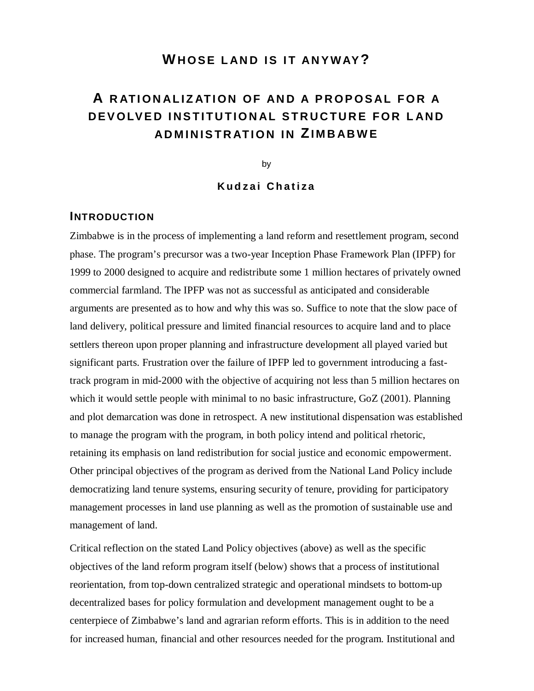### **WHOSE LAND IS IT ANYWAY?**

## **A RATIONALIZATION OF AND A PROPOSAL FOR A DEVOLVED INSTITUTIONAL STRUCTURE FOR LAND ADMINISTRATION IN ZIMBABWE**

by

**Kudzai Chatiza**

#### **INTRODUCTION**

Zimbabwe is in the process of implementing a land reform and resettlement program, second phase. The program's precursor was a two-year Inception Phase Framework Plan (IPFP) for 1999 to 2000 designed to acquire and redistribute some 1 million hectares of privately owned commercial farmland. The IPFP was not as successful as anticipated and considerable arguments are presented as to how and why this was so. Suffice to note that the slow pace of land delivery, political pressure and limited financial resources to acquire land and to place settlers thereon upon proper planning and infrastructure development all played varied but significant parts. Frustration over the failure of IPFP led to government introducing a fasttrack program in mid-2000 with the objective of acquiring not less than 5 million hectares on which it would settle people with minimal to no basic infrastructure, GoZ (2001). Planning and plot demarcation was done in retrospect. A new institutional dispensation was established to manage the program with the program, in both policy intend and political rhetoric, retaining its emphasis on land redistribution for social justice and economic empowerment. Other principal objectives of the program as derived from the National Land Policy include democratizing land tenure systems, ensuring security of tenure, providing for participatory management processes in land use planning as well as the promotion of sustainable use and management of land.

Critical reflection on the stated Land Policy objectives (above) as well as the specific objectives of the land reform program itself (below) shows that a process of institutional reorientation, from top-down centralized strategic and operational mindsets to bottom-up decentralized bases for policy formulation and development management ought to be a centerpiece of Zimbabwe's land and agrarian reform efforts. This is in addition to the need for increased human, financial and other resources needed for the program. Institutional and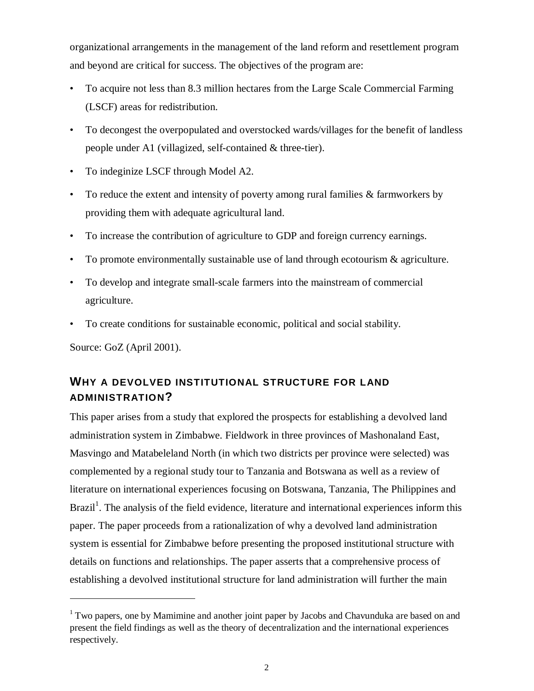organizational arrangements in the management of the land reform and resettlement program and beyond are critical for success. The objectives of the program are:

- To acquire not less than 8.3 million hectares from the Large Scale Commercial Farming (LSCF) areas for redistribution.
- To decongest the overpopulated and overstocked wards/villages for the benefit of landless people under A1 (villagized, self-contained & three-tier).
- To indeginize LSCF through Model A2.
- To reduce the extent and intensity of poverty among rural families & farmworkers by providing them with adequate agricultural land.
- To increase the contribution of agriculture to GDP and foreign currency earnings.
- To promote environmentally sustainable use of land through ecotourism & agriculture.
- To develop and integrate small-scale farmers into the mainstream of commercial agriculture.
- To create conditions for sustainable economic, political and social stability.

Source: GoZ (April 2001).

 $\overline{a}$ 

## **WHY A DEVOLVED INSTITUTIONAL STRUCTURE FOR LAND ADMINISTRATION?**

This paper arises from a study that explored the prospects for establishing a devolved land administration system in Zimbabwe. Fieldwork in three provinces of Mashonaland East, Masvingo and Matabeleland North (in which two districts per province were selected) was complemented by a regional study tour to Tanzania and Botswana as well as a review of literature on international experiences focusing on Botswana, Tanzania, The Philippines and Brazil<sup>1</sup>. The analysis of the field evidence, literature and international experiences inform this paper. The paper proceeds from a rationalization of why a devolved land administration system is essential for Zimbabwe before presenting the proposed institutional structure with details on functions and relationships. The paper asserts that a comprehensive process of establishing a devolved institutional structure for land administration will further the main

<sup>&</sup>lt;sup>1</sup> Two papers, one by Mamimine and another joint paper by Jacobs and Chavunduka are based on and present the field findings as well as the theory of decentralization and the international experiences respectively.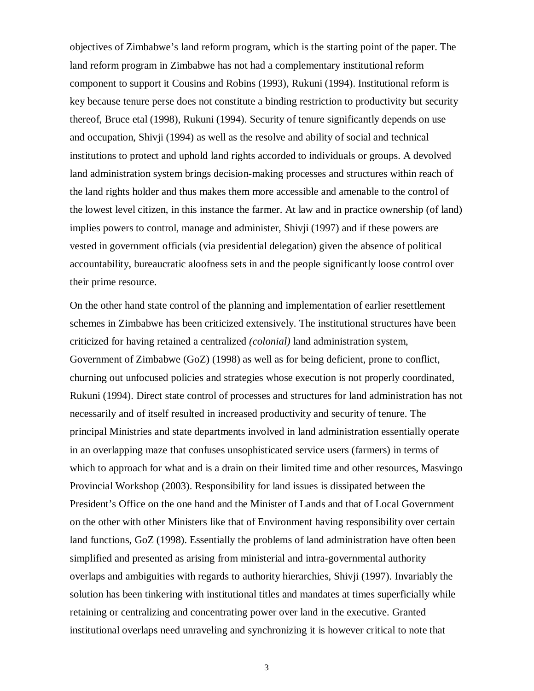objectives of Zimbabwe's land reform program, which is the starting point of the paper. The land reform program in Zimbabwe has not had a complementary institutional reform component to support it Cousins and Robins (1993), Rukuni (1994). Institutional reform is key because tenure perse does not constitute a binding restriction to productivity but security thereof, Bruce etal (1998), Rukuni (1994). Security of tenure significantly depends on use and occupation, Shivji (1994) as well as the resolve and ability of social and technical institutions to protect and uphold land rights accorded to individuals or groups. A devolved land administration system brings decision-making processes and structures within reach of the land rights holder and thus makes them more accessible and amenable to the control of the lowest level citizen, in this instance the farmer. At law and in practice ownership (of land) implies powers to control, manage and administer, Shivji (1997) and if these powers are vested in government officials (via presidential delegation) given the absence of political accountability, bureaucratic aloofness sets in and the people significantly loose control over their prime resource.

On the other hand state control of the planning and implementation of earlier resettlement schemes in Zimbabwe has been criticized extensively. The institutional structures have been criticized for having retained a centralized *(colonial)* land administration system, Government of Zimbabwe (GoZ) (1998) as well as for being deficient, prone to conflict, churning out unfocused policies and strategies whose execution is not properly coordinated, Rukuni (1994). Direct state control of processes and structures for land administration has not necessarily and of itself resulted in increased productivity and security of tenure. The principal Ministries and state departments involved in land administration essentially operate in an overlapping maze that confuses unsophisticated service users (farmers) in terms of which to approach for what and is a drain on their limited time and other resources, Masvingo Provincial Workshop (2003). Responsibility for land issues is dissipated between the President's Office on the one hand and the Minister of Lands and that of Local Government on the other with other Ministers like that of Environment having responsibility over certain land functions, GoZ (1998). Essentially the problems of land administration have often been simplified and presented as arising from ministerial and intra-governmental authority overlaps and ambiguities with regards to authority hierarchies, Shivji (1997). Invariably the solution has been tinkering with institutional titles and mandates at times superficially while retaining or centralizing and concentrating power over land in the executive. Granted institutional overlaps need unraveling and synchronizing it is however critical to note that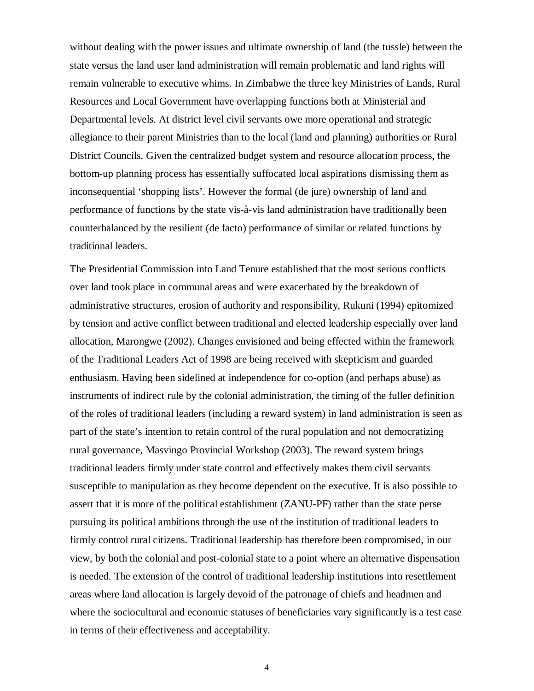without dealing with the power issues and ultimate ownership of land (the tussle) between the state versus the land user land administration will remain problematic and land rights will remain vulnerable to executive whims. In Zimbabwe the three key Ministries of Lands, Rural Resources and Local Government have overlapping functions both at Ministerial and Departmental levels. At district level civil servants owe more operational and strategic allegiance to their parent Ministries than to the local (land and planning) authorities or Rural District Councils. Given the centralized budget system and resource allocation process, the bottom-up planning process has essentially suffocated local aspirations dismissing them as inconsequential 'shopping lists'. However the formal (de jure) ownership of land and performance of functions by the state vis-à-vis land administration have traditionally been counterbalanced by the resilient (de facto) performance of similar or related functions by traditional leaders.

The Presidential Commission into Land Tenure established that the most serious conflicts over land took place in communal areas and were exacerbated by the breakdown of administrative structures, erosion of authority and responsibility, Rukuni (1994) epitomized by tension and active conflict between traditional and elected leadership especially over land allocation, Marongwe (2002). Changes envisioned and being effected within the framework of the Traditional Leaders Act of 1998 are being received with skepticism and guarded enthusiasm. Having been sidelined at independence for co-option (and perhaps abuse) as instruments of indirect rule by the colonial administration, the timing of the fuller definition of the roles of traditional leaders (including a reward system) in land administration is seen as part of the state's intention to retain control of the rural population and not democratizing rural governance, Masvingo Provincial Workshop (2003). The reward system brings traditional leaders firmly under state control and effectively makes them civil servants susceptible to manipulation as they become dependent on the executive. It is also possible to assert that it is more of the political establishment (ZANU-PF) rather than the state perse pursuing its political ambitions through the use of the institution of traditional leaders to firmly control rural citizens. Traditional leadership has therefore been compromised, in our view, by both the colonial and post-colonial state to a point where an alternative dispensation is needed. The extension of the control of traditional leadership institutions into resettlement areas where land allocation is largely devoid of the patronage of chiefs and headmen and where the sociocultural and economic statuses of beneficiaries vary significantly is a test case in terms of their effectiveness and acceptability.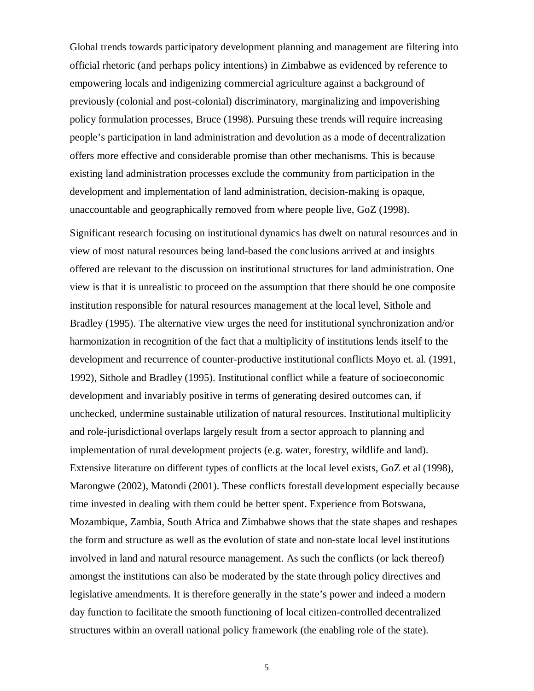Global trends towards participatory development planning and management are filtering into official rhetoric (and perhaps policy intentions) in Zimbabwe as evidenced by reference to empowering locals and indigenizing commercial agriculture against a background of previously (colonial and post-colonial) discriminatory, marginalizing and impoverishing policy formulation processes, Bruce (1998). Pursuing these trends will require increasing people's participation in land administration and devolution as a mode of decentralization offers more effective and considerable promise than other mechanisms. This is because existing land administration processes exclude the community from participation in the development and implementation of land administration, decision-making is opaque, unaccountable and geographically removed from where people live, GoZ (1998).

Significant research focusing on institutional dynamics has dwelt on natural resources and in view of most natural resources being land-based the conclusions arrived at and insights offered are relevant to the discussion on institutional structures for land administration. One view is that it is unrealistic to proceed on the assumption that there should be one composite institution responsible for natural resources management at the local level, Sithole and Bradley (1995). The alternative view urges the need for institutional synchronization and/or harmonization in recognition of the fact that a multiplicity of institutions lends itself to the development and recurrence of counter-productive institutional conflicts Moyo et. al. (1991, 1992), Sithole and Bradley (1995). Institutional conflict while a feature of socioeconomic development and invariably positive in terms of generating desired outcomes can, if unchecked, undermine sustainable utilization of natural resources. Institutional multiplicity and role-jurisdictional overlaps largely result from a sector approach to planning and implementation of rural development projects (e.g. water, forestry, wildlife and land). Extensive literature on different types of conflicts at the local level exists, GoZ et al (1998), Marongwe (2002), Matondi (2001). These conflicts forestall development especially because time invested in dealing with them could be better spent. Experience from Botswana, Mozambique, Zambia, South Africa and Zimbabwe shows that the state shapes and reshapes the form and structure as well as the evolution of state and non-state local level institutions involved in land and natural resource management. As such the conflicts (or lack thereof) amongst the institutions can also be moderated by the state through policy directives and legislative amendments. It is therefore generally in the state's power and indeed a modern day function to facilitate the smooth functioning of local citizen-controlled decentralized structures within an overall national policy framework (the enabling role of the state).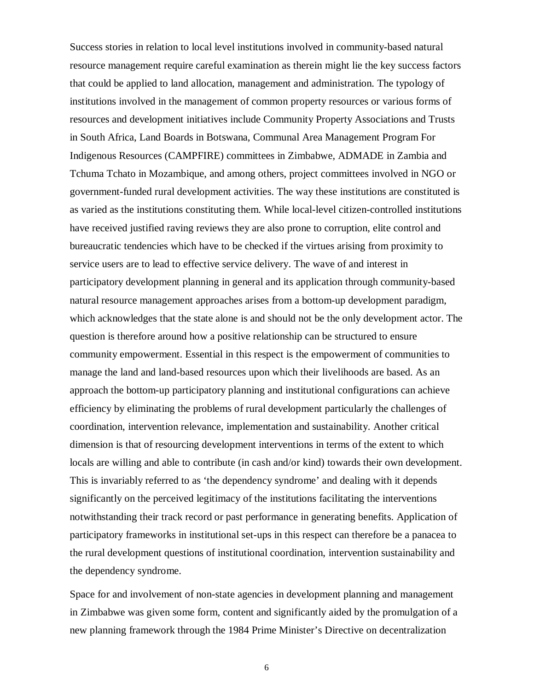Success stories in relation to local level institutions involved in community-based natural resource management require careful examination as therein might lie the key success factors that could be applied to land allocation, management and administration. The typology of institutions involved in the management of common property resources or various forms of resources and development initiatives include Community Property Associations and Trusts in South Africa, Land Boards in Botswana, Communal Area Management Program For Indigenous Resources (CAMPFIRE) committees in Zimbabwe, ADMADE in Zambia and Tchuma Tchato in Mozambique, and among others, project committees involved in NGO or government-funded rural development activities. The way these institutions are constituted is as varied as the institutions constituting them. While local-level citizen-controlled institutions have received justified raving reviews they are also prone to corruption, elite control and bureaucratic tendencies which have to be checked if the virtues arising from proximity to service users are to lead to effective service delivery. The wave of and interest in participatory development planning in general and its application through community-based natural resource management approaches arises from a bottom-up development paradigm, which acknowledges that the state alone is and should not be the only development actor. The question is therefore around how a positive relationship can be structured to ensure community empowerment. Essential in this respect is the empowerment of communities to manage the land and land-based resources upon which their livelihoods are based. As an approach the bottom-up participatory planning and institutional configurations can achieve efficiency by eliminating the problems of rural development particularly the challenges of coordination, intervention relevance, implementation and sustainability. Another critical dimension is that of resourcing development interventions in terms of the extent to which locals are willing and able to contribute (in cash and/or kind) towards their own development. This is invariably referred to as 'the dependency syndrome' and dealing with it depends significantly on the perceived legitimacy of the institutions facilitating the interventions notwithstanding their track record or past performance in generating benefits. Application of participatory frameworks in institutional set-ups in this respect can therefore be a panacea to the rural development questions of institutional coordination, intervention sustainability and the dependency syndrome.

Space for and involvement of non-state agencies in development planning and management in Zimbabwe was given some form, content and significantly aided by the promulgation of a new planning framework through the 1984 Prime Minister's Directive on decentralization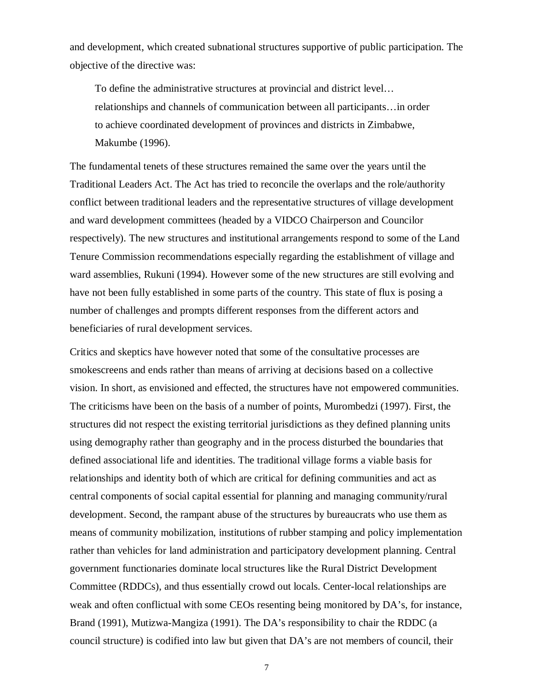and development, which created subnational structures supportive of public participation. The objective of the directive was:

To define the administrative structures at provincial and district level… relationships and channels of communication between all participants…in order to achieve coordinated development of provinces and districts in Zimbabwe, Makumbe (1996).

The fundamental tenets of these structures remained the same over the years until the Traditional Leaders Act. The Act has tried to reconcile the overlaps and the role/authority conflict between traditional leaders and the representative structures of village development and ward development committees (headed by a VIDCO Chairperson and Councilor respectively). The new structures and institutional arrangements respond to some of the Land Tenure Commission recommendations especially regarding the establishment of village and ward assemblies, Rukuni (1994). However some of the new structures are still evolving and have not been fully established in some parts of the country. This state of flux is posing a number of challenges and prompts different responses from the different actors and beneficiaries of rural development services.

Critics and skeptics have however noted that some of the consultative processes are smokescreens and ends rather than means of arriving at decisions based on a collective vision. In short, as envisioned and effected, the structures have not empowered communities. The criticisms have been on the basis of a number of points, Murombedzi (1997). First, the structures did not respect the existing territorial jurisdictions as they defined planning units using demography rather than geography and in the process disturbed the boundaries that defined associational life and identities. The traditional village forms a viable basis for relationships and identity both of which are critical for defining communities and act as central components of social capital essential for planning and managing community/rural development. Second, the rampant abuse of the structures by bureaucrats who use them as means of community mobilization, institutions of rubber stamping and policy implementation rather than vehicles for land administration and participatory development planning. Central government functionaries dominate local structures like the Rural District Development Committee (RDDCs), and thus essentially crowd out locals. Center-local relationships are weak and often conflictual with some CEOs resenting being monitored by DA's, for instance, Brand (1991), Mutizwa-Mangiza (1991). The DA's responsibility to chair the RDDC (a council structure) is codified into law but given that DA's are not members of council, their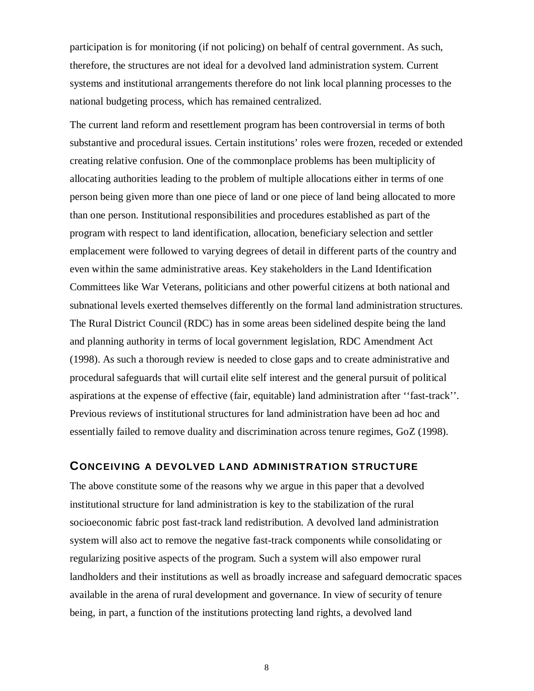participation is for monitoring (if not policing) on behalf of central government. As such, therefore, the structures are not ideal for a devolved land administration system. Current systems and institutional arrangements therefore do not link local planning processes to the national budgeting process, which has remained centralized.

The current land reform and resettlement program has been controversial in terms of both substantive and procedural issues. Certain institutions' roles were frozen, receded or extended creating relative confusion. One of the commonplace problems has been multiplicity of allocating authorities leading to the problem of multiple allocations either in terms of one person being given more than one piece of land or one piece of land being allocated to more than one person. Institutional responsibilities and procedures established as part of the program with respect to land identification, allocation, beneficiary selection and settler emplacement were followed to varying degrees of detail in different parts of the country and even within the same administrative areas. Key stakeholders in the Land Identification Committees like War Veterans, politicians and other powerful citizens at both national and subnational levels exerted themselves differently on the formal land administration structures. The Rural District Council (RDC) has in some areas been sidelined despite being the land and planning authority in terms of local government legislation, RDC Amendment Act (1998). As such a thorough review is needed to close gaps and to create administrative and procedural safeguards that will curtail elite self interest and the general pursuit of political aspirations at the expense of effective (fair, equitable) land administration after ''fast-track''. Previous reviews of institutional structures for land administration have been ad hoc and essentially failed to remove duality and discrimination across tenure regimes, GoZ (1998).

### **CONCEIVING A DEVOLVED LAND ADMINISTRATION STRUCTURE**

The above constitute some of the reasons why we argue in this paper that a devolved institutional structure for land administration is key to the stabilization of the rural socioeconomic fabric post fast-track land redistribution. A devolved land administration system will also act to remove the negative fast-track components while consolidating or regularizing positive aspects of the program. Such a system will also empower rural landholders and their institutions as well as broadly increase and safeguard democratic spaces available in the arena of rural development and governance. In view of security of tenure being, in part, a function of the institutions protecting land rights, a devolved land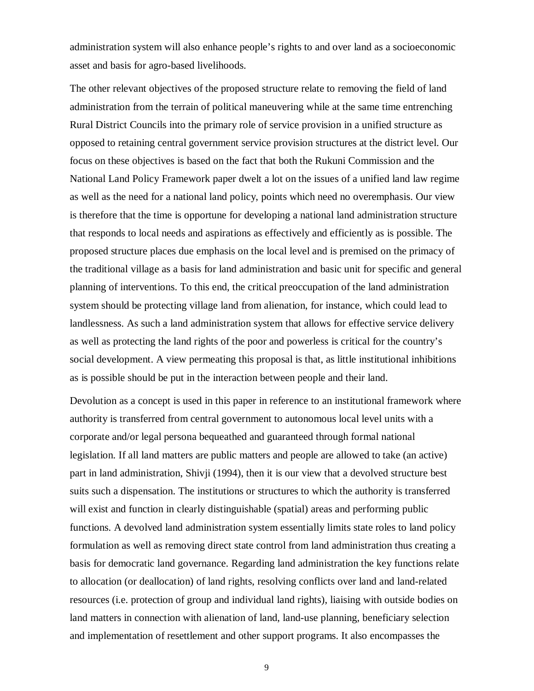administration system will also enhance people's rights to and over land as a socioeconomic asset and basis for agro-based livelihoods.

The other relevant objectives of the proposed structure relate to removing the field of land administration from the terrain of political maneuvering while at the same time entrenching Rural District Councils into the primary role of service provision in a unified structure as opposed to retaining central government service provision structures at the district level. Our focus on these objectives is based on the fact that both the Rukuni Commission and the National Land Policy Framework paper dwelt a lot on the issues of a unified land law regime as well as the need for a national land policy, points which need no overemphasis. Our view is therefore that the time is opportune for developing a national land administration structure that responds to local needs and aspirations as effectively and efficiently as is possible. The proposed structure places due emphasis on the local level and is premised on the primacy of the traditional village as a basis for land administration and basic unit for specific and general planning of interventions. To this end, the critical preoccupation of the land administration system should be protecting village land from alienation, for instance, which could lead to landlessness. As such a land administration system that allows for effective service delivery as well as protecting the land rights of the poor and powerless is critical for the country's social development. A view permeating this proposal is that, as little institutional inhibitions as is possible should be put in the interaction between people and their land.

Devolution as a concept is used in this paper in reference to an institutional framework where authority is transferred from central government to autonomous local level units with a corporate and/or legal persona bequeathed and guaranteed through formal national legislation. If all land matters are public matters and people are allowed to take (an active) part in land administration, Shivji (1994), then it is our view that a devolved structure best suits such a dispensation. The institutions or structures to which the authority is transferred will exist and function in clearly distinguishable (spatial) areas and performing public functions. A devolved land administration system essentially limits state roles to land policy formulation as well as removing direct state control from land administration thus creating a basis for democratic land governance. Regarding land administration the key functions relate to allocation (or deallocation) of land rights, resolving conflicts over land and land-related resources (i.e. protection of group and individual land rights), liaising with outside bodies on land matters in connection with alienation of land, land-use planning, beneficiary selection and implementation of resettlement and other support programs. It also encompasses the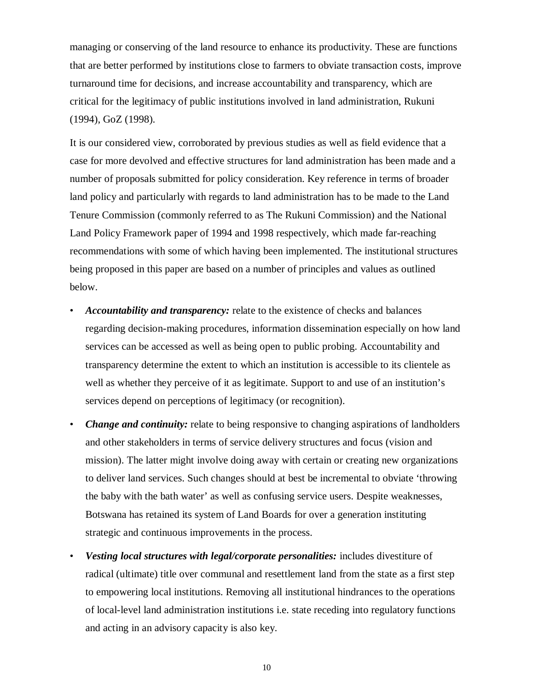managing or conserving of the land resource to enhance its productivity. These are functions that are better performed by institutions close to farmers to obviate transaction costs, improve turnaround time for decisions, and increase accountability and transparency, which are critical for the legitimacy of public institutions involved in land administration, Rukuni (1994), GoZ (1998).

It is our considered view, corroborated by previous studies as well as field evidence that a case for more devolved and effective structures for land administration has been made and a number of proposals submitted for policy consideration. Key reference in terms of broader land policy and particularly with regards to land administration has to be made to the Land Tenure Commission (commonly referred to as The Rukuni Commission) and the National Land Policy Framework paper of 1994 and 1998 respectively, which made far-reaching recommendations with some of which having been implemented. The institutional structures being proposed in this paper are based on a number of principles and values as outlined below.

- *Accountability and transparency:* relate to the existence of checks and balances regarding decision-making procedures, information dissemination especially on how land services can be accessed as well as being open to public probing. Accountability and transparency determine the extent to which an institution is accessible to its clientele as well as whether they perceive of it as legitimate. Support to and use of an institution's services depend on perceptions of legitimacy (or recognition).
- *Change and continuity:* relate to being responsive to changing aspirations of landholders and other stakeholders in terms of service delivery structures and focus (vision and mission). The latter might involve doing away with certain or creating new organizations to deliver land services. Such changes should at best be incremental to obviate 'throwing the baby with the bath water' as well as confusing service users. Despite weaknesses, Botswana has retained its system of Land Boards for over a generation instituting strategic and continuous improvements in the process.
- *Vesting local structures with legal/corporate personalities:* includes divestiture of radical (ultimate) title over communal and resettlement land from the state as a first step to empowering local institutions. Removing all institutional hindrances to the operations of local-level land administration institutions i.e. state receding into regulatory functions and acting in an advisory capacity is also key.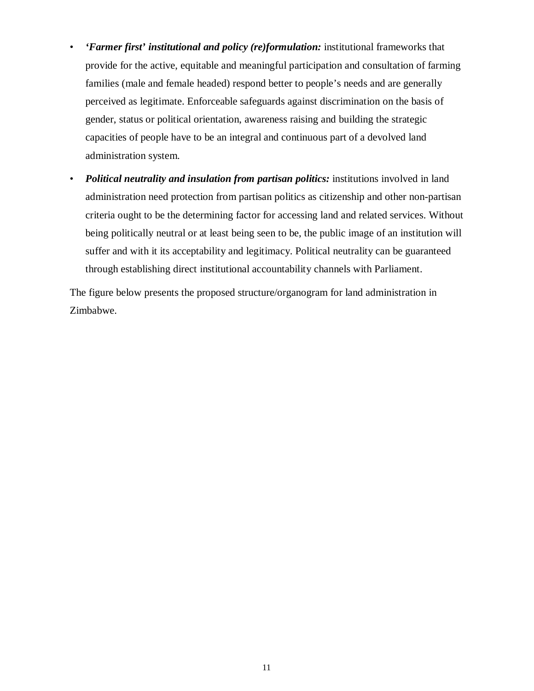- *'Farmer first' institutional and policy (re)formulation:* institutional frameworks that provide for the active, equitable and meaningful participation and consultation of farming families (male and female headed) respond better to people's needs and are generally perceived as legitimate. Enforceable safeguards against discrimination on the basis of gender, status or political orientation, awareness raising and building the strategic capacities of people have to be an integral and continuous part of a devolved land administration system.
- *Political neutrality and insulation from partisan politics:* institutions involved in land administration need protection from partisan politics as citizenship and other non-partisan criteria ought to be the determining factor for accessing land and related services. Without being politically neutral or at least being seen to be, the public image of an institution will suffer and with it its acceptability and legitimacy. Political neutrality can be guaranteed through establishing direct institutional accountability channels with Parliament.

The figure below presents the proposed structure/organogram for land administration in Zimbabwe.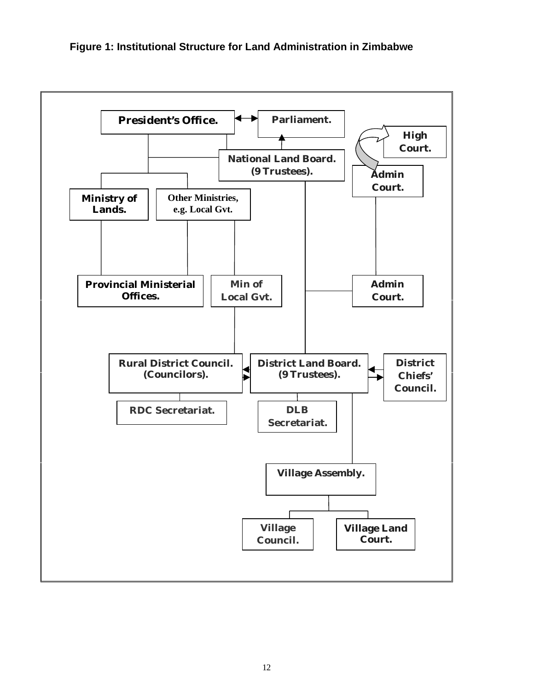

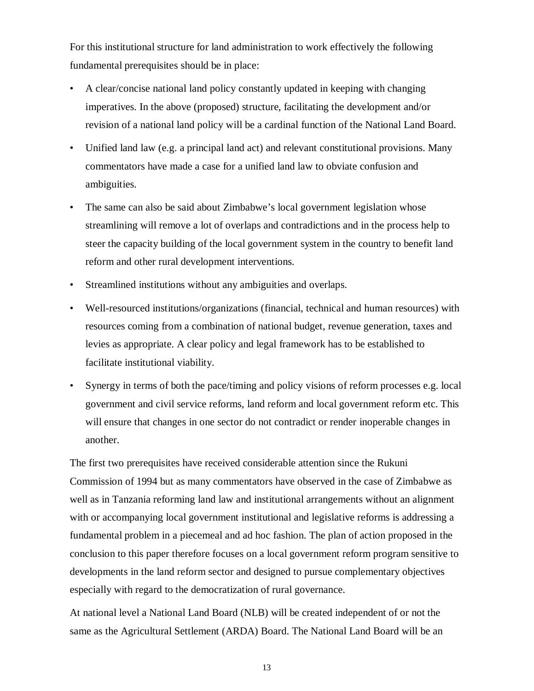For this institutional structure for land administration to work effectively the following fundamental prerequisites should be in place:

- A clear/concise national land policy constantly updated in keeping with changing imperatives. In the above (proposed) structure, facilitating the development and/or revision of a national land policy will be a cardinal function of the National Land Board.
- Unified land law (e.g. a principal land act) and relevant constitutional provisions. Many commentators have made a case for a unified land law to obviate confusion and ambiguities.
- The same can also be said about Zimbabwe's local government legislation whose streamlining will remove a lot of overlaps and contradictions and in the process help to steer the capacity building of the local government system in the country to benefit land reform and other rural development interventions.
- Streamlined institutions without any ambiguities and overlaps.
- Well-resourced institutions/organizations (financial, technical and human resources) with resources coming from a combination of national budget, revenue generation, taxes and levies as appropriate. A clear policy and legal framework has to be established to facilitate institutional viability.
- Synergy in terms of both the pace/timing and policy visions of reform processes e.g. local government and civil service reforms, land reform and local government reform etc. This will ensure that changes in one sector do not contradict or render inoperable changes in another.

The first two prerequisites have received considerable attention since the Rukuni Commission of 1994 but as many commentators have observed in the case of Zimbabwe as well as in Tanzania reforming land law and institutional arrangements without an alignment with or accompanying local government institutional and legislative reforms is addressing a fundamental problem in a piecemeal and ad hoc fashion. The plan of action proposed in the conclusion to this paper therefore focuses on a local government reform program sensitive to developments in the land reform sector and designed to pursue complementary objectives especially with regard to the democratization of rural governance.

At national level a National Land Board (NLB) will be created independent of or not the same as the Agricultural Settlement (ARDA) Board. The National Land Board will be an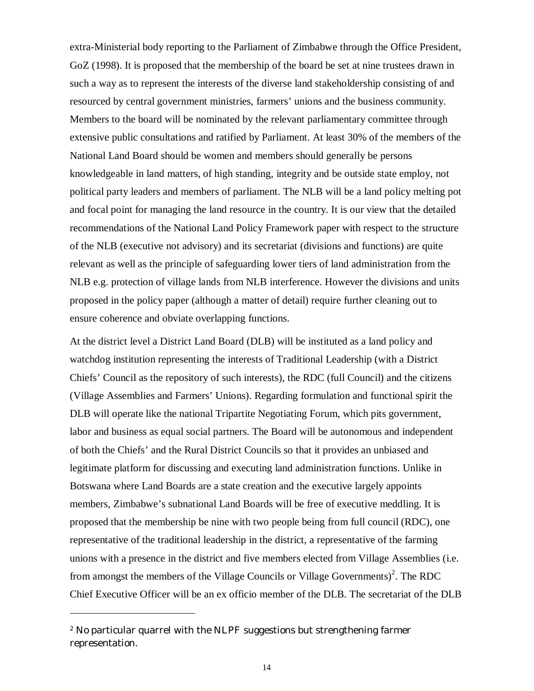extra-Ministerial body reporting to the Parliament of Zimbabwe through the Office President, GoZ (1998). It is proposed that the membership of the board be set at nine trustees drawn in such a way as to represent the interests of the diverse land stakeholdership consisting of and resourced by central government ministries, farmers' unions and the business community. Members to the board will be nominated by the relevant parliamentary committee through extensive public consultations and ratified by Parliament. At least 30% of the members of the National Land Board should be women and members should generally be persons knowledgeable in land matters, of high standing, integrity and be outside state employ, not political party leaders and members of parliament. The NLB will be a land policy melting pot and focal point for managing the land resource in the country. It is our view that the detailed recommendations of the National Land Policy Framework paper with respect to the structure of the NLB (executive not advisory) and its secretariat (divisions and functions) are quite relevant as well as the principle of safeguarding lower tiers of land administration from the NLB e.g. protection of village lands from NLB interference. However the divisions and units proposed in the policy paper (although a matter of detail) require further cleaning out to ensure coherence and obviate overlapping functions.

At the district level a District Land Board (DLB) will be instituted as a land policy and watchdog institution representing the interests of Traditional Leadership (with a District Chiefs' Council as the repository of such interests), the RDC (full Council) and the citizens (Village Assemblies and Farmers' Unions). Regarding formulation and functional spirit the DLB will operate like the national Tripartite Negotiating Forum, which pits government, labor and business as equal social partners. The Board will be autonomous and independent of both the Chiefs' and the Rural District Councils so that it provides an unbiased and legitimate platform for discussing and executing land administration functions. Unlike in Botswana where Land Boards are a state creation and the executive largely appoints members, Zimbabwe's subnational Land Boards will be free of executive meddling. It is proposed that the membership be nine with two people being from full council (RDC), one representative of the traditional leadership in the district, a representative of the farming unions with a presence in the district and five members elected from Village Assemblies (i.e. from amongst the members of the Village Councils or Village Governments)<sup>2</sup>. The RDC Chief Executive Officer will be an ex officio member of the DLB. The secretariat of the DLB

 $\overline{a}$ 

<sup>2</sup> No particular quarrel with the NLPF suggestions but strengthening farmer representation.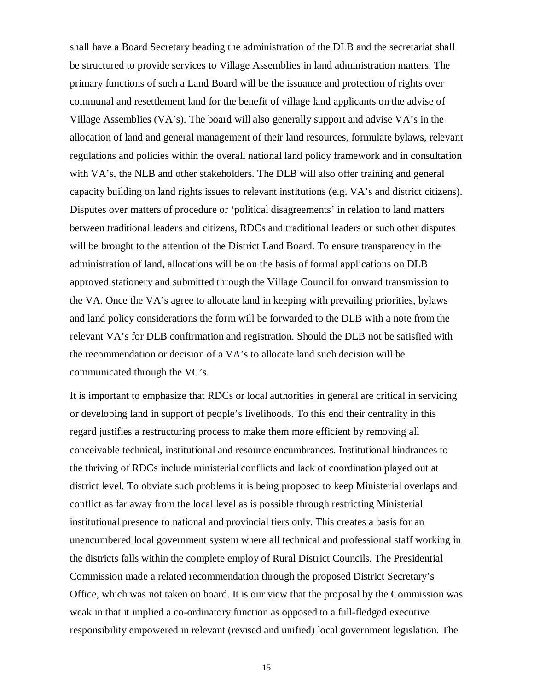shall have a Board Secretary heading the administration of the DLB and the secretariat shall be structured to provide services to Village Assemblies in land administration matters. The primary functions of such a Land Board will be the issuance and protection of rights over communal and resettlement land for the benefit of village land applicants on the advise of Village Assemblies (VA's). The board will also generally support and advise VA's in the allocation of land and general management of their land resources, formulate bylaws, relevant regulations and policies within the overall national land policy framework and in consultation with VA's, the NLB and other stakeholders. The DLB will also offer training and general capacity building on land rights issues to relevant institutions (e.g. VA's and district citizens). Disputes over matters of procedure or 'political disagreements' in relation to land matters between traditional leaders and citizens, RDCs and traditional leaders or such other disputes will be brought to the attention of the District Land Board. To ensure transparency in the administration of land, allocations will be on the basis of formal applications on DLB approved stationery and submitted through the Village Council for onward transmission to the VA. Once the VA's agree to allocate land in keeping with prevailing priorities, bylaws and land policy considerations the form will be forwarded to the DLB with a note from the relevant VA's for DLB confirmation and registration. Should the DLB not be satisfied with the recommendation or decision of a VA's to allocate land such decision will be communicated through the VC's.

It is important to emphasize that RDCs or local authorities in general are critical in servicing or developing land in support of people's livelihoods. To this end their centrality in this regard justifies a restructuring process to make them more efficient by removing all conceivable technical, institutional and resource encumbrances. Institutional hindrances to the thriving of RDCs include ministerial conflicts and lack of coordination played out at district level. To obviate such problems it is being proposed to keep Ministerial overlaps and conflict as far away from the local level as is possible through restricting Ministerial institutional presence to national and provincial tiers only. This creates a basis for an unencumbered local government system where all technical and professional staff working in the districts falls within the complete employ of Rural District Councils. The Presidential Commission made a related recommendation through the proposed District Secretary's Office, which was not taken on board. It is our view that the proposal by the Commission was weak in that it implied a co-ordinatory function as opposed to a full-fledged executive responsibility empowered in relevant (revised and unified) local government legislation. The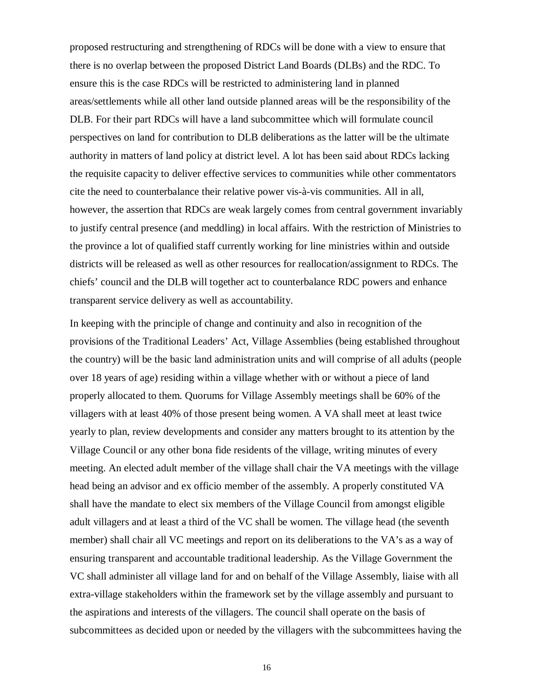proposed restructuring and strengthening of RDCs will be done with a view to ensure that there is no overlap between the proposed District Land Boards (DLBs) and the RDC. To ensure this is the case RDCs will be restricted to administering land in planned areas/settlements while all other land outside planned areas will be the responsibility of the DLB. For their part RDCs will have a land subcommittee which will formulate council perspectives on land for contribution to DLB deliberations as the latter will be the ultimate authority in matters of land policy at district level. A lot has been said about RDCs lacking the requisite capacity to deliver effective services to communities while other commentators cite the need to counterbalance their relative power vis-à-vis communities. All in all, however, the assertion that RDCs are weak largely comes from central government invariably to justify central presence (and meddling) in local affairs. With the restriction of Ministries to the province a lot of qualified staff currently working for line ministries within and outside districts will be released as well as other resources for reallocation/assignment to RDCs. The chiefs' council and the DLB will together act to counterbalance RDC powers and enhance transparent service delivery as well as accountability.

In keeping with the principle of change and continuity and also in recognition of the provisions of the Traditional Leaders' Act, Village Assemblies (being established throughout the country) will be the basic land administration units and will comprise of all adults (people over 18 years of age) residing within a village whether with or without a piece of land properly allocated to them. Quorums for Village Assembly meetings shall be 60% of the villagers with at least 40% of those present being women. A VA shall meet at least twice yearly to plan, review developments and consider any matters brought to its attention by the Village Council or any other bona fide residents of the village, writing minutes of every meeting. An elected adult member of the village shall chair the VA meetings with the village head being an advisor and ex officio member of the assembly. A properly constituted VA shall have the mandate to elect six members of the Village Council from amongst eligible adult villagers and at least a third of the VC shall be women. The village head (the seventh member) shall chair all VC meetings and report on its deliberations to the VA's as a way of ensuring transparent and accountable traditional leadership. As the Village Government the VC shall administer all village land for and on behalf of the Village Assembly, liaise with all extra-village stakeholders within the framework set by the village assembly and pursuant to the aspirations and interests of the villagers. The council shall operate on the basis of subcommittees as decided upon or needed by the villagers with the subcommittees having the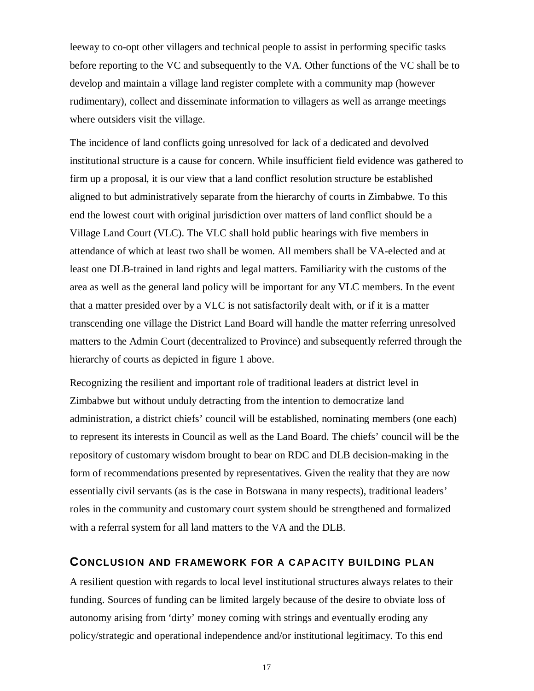leeway to co-opt other villagers and technical people to assist in performing specific tasks before reporting to the VC and subsequently to the VA. Other functions of the VC shall be to develop and maintain a village land register complete with a community map (however rudimentary), collect and disseminate information to villagers as well as arrange meetings where outsiders visit the village.

The incidence of land conflicts going unresolved for lack of a dedicated and devolved institutional structure is a cause for concern. While insufficient field evidence was gathered to firm up a proposal, it is our view that a land conflict resolution structure be established aligned to but administratively separate from the hierarchy of courts in Zimbabwe. To this end the lowest court with original jurisdiction over matters of land conflict should be a Village Land Court (VLC). The VLC shall hold public hearings with five members in attendance of which at least two shall be women. All members shall be VA-elected and at least one DLB-trained in land rights and legal matters. Familiarity with the customs of the area as well as the general land policy will be important for any VLC members. In the event that a matter presided over by a VLC is not satisfactorily dealt with, or if it is a matter transcending one village the District Land Board will handle the matter referring unresolved matters to the Admin Court (decentralized to Province) and subsequently referred through the hierarchy of courts as depicted in figure 1 above.

Recognizing the resilient and important role of traditional leaders at district level in Zimbabwe but without unduly detracting from the intention to democratize land administration, a district chiefs' council will be established, nominating members (one each) to represent its interests in Council as well as the Land Board. The chiefs' council will be the repository of customary wisdom brought to bear on RDC and DLB decision-making in the form of recommendations presented by representatives. Given the reality that they are now essentially civil servants (as is the case in Botswana in many respects), traditional leaders' roles in the community and customary court system should be strengthened and formalized with a referral system for all land matters to the VA and the DLB.

### **CONCLUSION AND FRAMEWORK FOR A CAPACITY BUILDING PLAN**

A resilient question with regards to local level institutional structures always relates to their funding. Sources of funding can be limited largely because of the desire to obviate loss of autonomy arising from 'dirty' money coming with strings and eventually eroding any policy/strategic and operational independence and/or institutional legitimacy. To this end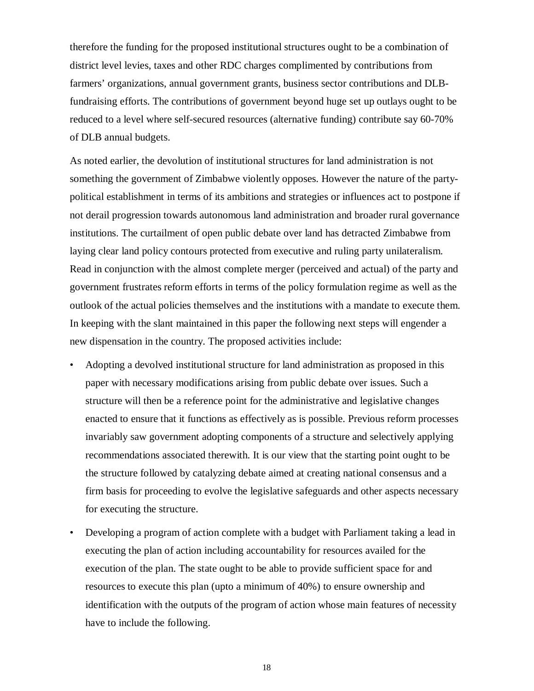therefore the funding for the proposed institutional structures ought to be a combination of district level levies, taxes and other RDC charges complimented by contributions from farmers' organizations, annual government grants, business sector contributions and DLBfundraising efforts. The contributions of government beyond huge set up outlays ought to be reduced to a level where self-secured resources (alternative funding) contribute say 60-70% of DLB annual budgets.

As noted earlier, the devolution of institutional structures for land administration is not something the government of Zimbabwe violently opposes. However the nature of the partypolitical establishment in terms of its ambitions and strategies or influences act to postpone if not derail progression towards autonomous land administration and broader rural governance institutions. The curtailment of open public debate over land has detracted Zimbabwe from laying clear land policy contours protected from executive and ruling party unilateralism. Read in conjunction with the almost complete merger (perceived and actual) of the party and government frustrates reform efforts in terms of the policy formulation regime as well as the outlook of the actual policies themselves and the institutions with a mandate to execute them. In keeping with the slant maintained in this paper the following next steps will engender a new dispensation in the country. The proposed activities include:

- Adopting a devolved institutional structure for land administration as proposed in this paper with necessary modifications arising from public debate over issues. Such a structure will then be a reference point for the administrative and legislative changes enacted to ensure that it functions as effectively as is possible. Previous reform processes invariably saw government adopting components of a structure and selectively applying recommendations associated therewith. It is our view that the starting point ought to be the structure followed by catalyzing debate aimed at creating national consensus and a firm basis for proceeding to evolve the legislative safeguards and other aspects necessary for executing the structure.
- Developing a program of action complete with a budget with Parliament taking a lead in executing the plan of action including accountability for resources availed for the execution of the plan. The state ought to be able to provide sufficient space for and resources to execute this plan (upto a minimum of 40%) to ensure ownership and identification with the outputs of the program of action whose main features of necessity have to include the following.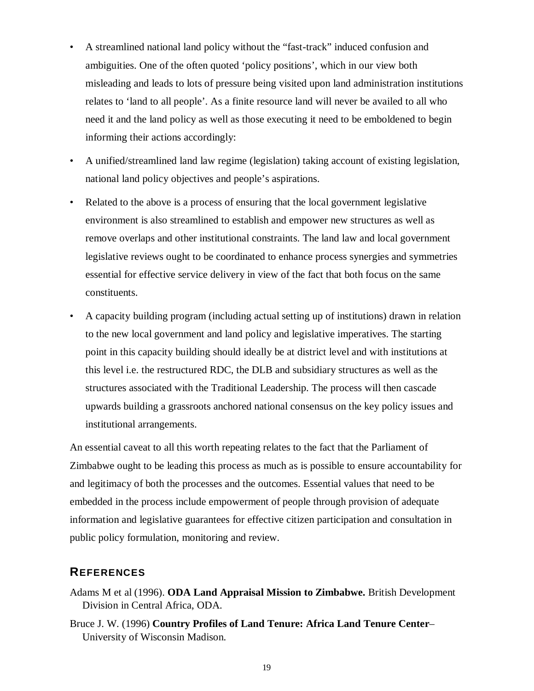- A streamlined national land policy without the "fast-track" induced confusion and ambiguities. One of the often quoted 'policy positions', which in our view both misleading and leads to lots of pressure being visited upon land administration institutions relates to 'land to all people'. As a finite resource land will never be availed to all who need it and the land policy as well as those executing it need to be emboldened to begin informing their actions accordingly:
- A unified/streamlined land law regime (legislation) taking account of existing legislation, national land policy objectives and people's aspirations.
- Related to the above is a process of ensuring that the local government legislative environment is also streamlined to establish and empower new structures as well as remove overlaps and other institutional constraints. The land law and local government legislative reviews ought to be coordinated to enhance process synergies and symmetries essential for effective service delivery in view of the fact that both focus on the same constituents.
- A capacity building program (including actual setting up of institutions) drawn in relation to the new local government and land policy and legislative imperatives. The starting point in this capacity building should ideally be at district level and with institutions at this level i.e. the restructured RDC, the DLB and subsidiary structures as well as the structures associated with the Traditional Leadership. The process will then cascade upwards building a grassroots anchored national consensus on the key policy issues and institutional arrangements.

An essential caveat to all this worth repeating relates to the fact that the Parliament of Zimbabwe ought to be leading this process as much as is possible to ensure accountability for and legitimacy of both the processes and the outcomes. Essential values that need to be embedded in the process include empowerment of people through provision of adequate information and legislative guarantees for effective citizen participation and consultation in public policy formulation, monitoring and review.

### **REFERENCES**

- Adams M et al (1996). **ODA Land Appraisal Mission to Zimbabwe.** British Development Division in Central Africa, ODA.
- Bruce J. W. (1996) **Country Profiles of Land Tenure: Africa Land Tenure Center** University of Wisconsin Madison.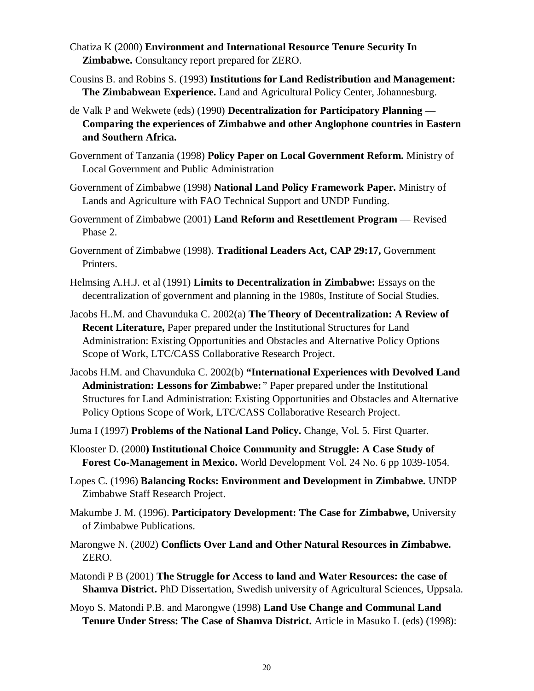- Chatiza K (2000) **Environment and International Resource Tenure Security In Zimbabwe.** Consultancy report prepared for ZERO.
- Cousins B. and Robins S. (1993) **Institutions for Land Redistribution and Management: The Zimbabwean Experience.** Land and Agricultural Policy Center, Johannesburg.
- de Valk P and Wekwete (eds) (1990) **Decentralization for Participatory Planning — Comparing the experiences of Zimbabwe and other Anglophone countries in Eastern and Southern Africa.**
- Government of Tanzania (1998) **Policy Paper on Local Government Reform.** Ministry of Local Government and Public Administration
- Government of Zimbabwe (1998) **National Land Policy Framework Paper.** Ministry of Lands and Agriculture with FAO Technical Support and UNDP Funding.
- Government of Zimbabwe (2001) **Land Reform and Resettlement Program** Revised Phase 2.
- Government of Zimbabwe (1998). **Traditional Leaders Act, CAP 29:17,** Government Printers.
- Helmsing A.H.J. et al (1991) **Limits to Decentralization in Zimbabwe:** Essays on the decentralization of government and planning in the 1980s, Institute of Social Studies.
- Jacobs H..M. and Chavunduka C. 2002(a) **The Theory of Decentralization: A Review of Recent Literature,** Paper prepared under the Institutional Structures for Land Administration: Existing Opportunities and Obstacles and Alternative Policy Options Scope of Work, LTC/CASS Collaborative Research Project.
- Jacobs H.M. and Chavunduka C. 2002(b) **"International Experiences with Devolved Land Administration: Lessons for Zimbabwe:***"* Paper prepared under the Institutional Structures for Land Administration: Existing Opportunities and Obstacles and Alternative Policy Options Scope of Work, LTC/CASS Collaborative Research Project.
- Juma I (1997) **Problems of the National Land Policy.** Change, Vol. 5. First Quarter.
- Klooster D. (2000**) Institutional Choice Community and Struggle: A Case Study of Forest Co-Management in Mexico.** World Development Vol. 24 No. 6 pp 1039-1054.
- Lopes C. (1996) **Balancing Rocks: Environment and Development in Zimbabwe.** UNDP Zimbabwe Staff Research Project.
- Makumbe J. M. (1996). **Participatory Development: The Case for Zimbabwe,** University of Zimbabwe Publications.
- Marongwe N. (2002) **Conflicts Over Land and Other Natural Resources in Zimbabwe.** ZERO.
- Matondi P B (2001) **The Struggle for Access to land and Water Resources: the case of Shamva District.** PhD Dissertation, Swedish university of Agricultural Sciences, Uppsala.
- Moyo S. Matondi P.B. and Marongwe (1998) **Land Use Change and Communal Land Tenure Under Stress: The Case of Shamva District.** Article in Masuko L (eds) (1998):